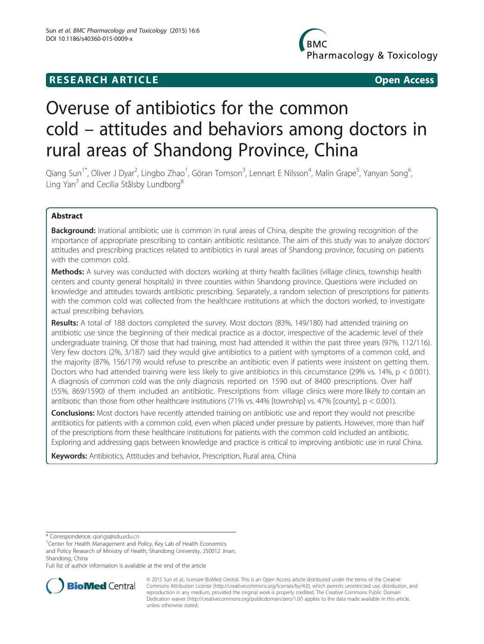# **RESEARCH ARTICLE CONSUMING A RESEARCH ARTICLE**

Pharmacology & Toxicology

# Overuse of antibiotics for the common cold – attitudes and behaviors among doctors in rural areas of Shandong Province, China

Qiang Sun<sup>1\*</sup>, Oliver J Dyar<sup>2</sup>, Lingbo Zhao<sup>1</sup>, Göran Tomson<sup>3</sup>, Lennart E Nilsson<sup>4</sup>, Malin Grape<sup>5</sup>, Yanyan Song<sup>6</sup> , Ling Yan<sup>7</sup> and Cecilia Stålsby Lundborg<sup>8</sup>

# Abstract

Background: Irrational antibiotic use is common in rural areas of China, despite the growing recognition of the importance of appropriate prescribing to contain antibiotic resistance. The aim of this study was to analyze doctors' attitudes and prescribing practices related to antibiotics in rural areas of Shandong province, focusing on patients with the common cold.

Methods: A survey was conducted with doctors working at thirty health facilities (village clinics, township health centers and county general hospitals) in three counties within Shandong province. Questions were included on knowledge and attitudes towards antibiotic prescribing. Separately, a random selection of prescriptions for patients with the common cold was collected from the healthcare institutions at which the doctors worked, to investigate actual prescribing behaviors.

Results: A total of 188 doctors completed the survey. Most doctors (83%, 149/180) had attended training on antibiotic use since the beginning of their medical practice as a doctor, irrespective of the academic level of their undergraduate training. Of those that had training, most had attended it within the past three years (97%, 112/116). Very few doctors (2%, 3/187) said they would give antibiotics to a patient with symptoms of a common cold, and the majority (87%, 156/179) would refuse to prescribe an antibiotic even if patients were insistent on getting them. Doctors who had attended training were less likely to give antibiotics in this circumstance (29% vs. 14%,  $p < 0.001$ ). A diagnosis of common cold was the only diagnosis reported on 1590 out of 8400 prescriptions. Over half (55%, 869/1590) of them included an antibiotic. Prescriptions from village clinics were more likely to contain an antibiotic than those from other healthcare institutions (71% vs. 44% [township] vs. 47% [county],  $p < 0.001$ ).

**Conclusions:** Most doctors have recently attended training on antibiotic use and report they would not prescribe antibiotics for patients with a common cold, even when placed under pressure by patients. However, more than half of the prescriptions from these healthcare institutions for patients with the common cold included an antibiotic. Exploring and addressing gaps between knowledge and practice is critical to improving antibiotic use in rural China.

Keywords: Antibiotics, Attitudes and behavior, Prescription, Rural area, China

\* Correspondence: [qiangs@sdu.edu.cn](mailto:qiangs@sdu.edu.cn) <sup>1</sup>

<sup>1</sup> Center for Health Management and Policy, Key Lab of Health Economics and Policy Research of Ministry of Health, Shandong University, 250012 Jinan, Shandong, China

Full list of author information is available at the end of the article



© 2015 Sun et al.; licensee BioMed Central. This is an Open Access article distributed under the terms of the Creative Commons Attribution License [\(http://creativecommons.org/licenses/by/4.0\)](http://creativecommons.org/licenses/by/4.0), which permits unrestricted use, distribution, and reproduction in any medium, provided the original work is properly credited. The Creative Commons Public Domain Dedication waiver [\(http://creativecommons.org/publicdomain/zero/1.0/](http://creativecommons.org/publicdomain/zero/1.0/)) applies to the data made available in this article, unless otherwise stated.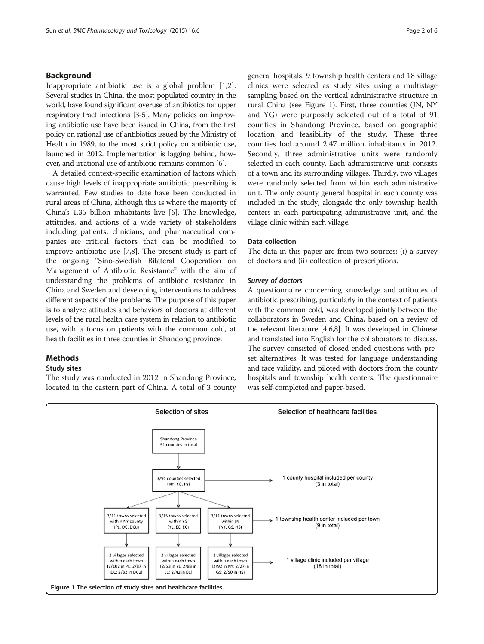## Background

Inappropriate antibiotic use is a global problem [\[1,2](#page-5-0)]. Several studies in China, the most populated country in the world, have found significant overuse of antibiotics for upper respiratory tract infections [[3](#page-5-0)-[5](#page-5-0)]. Many policies on improving antibiotic use have been issued in China, from the first policy on rational use of antibiotics issued by the Ministry of Health in 1989, to the most strict policy on antibiotic use, launched in 2012. Implementation is lagging behind, however, and irrational use of antibiotic remains common [\[6\]](#page-5-0).

A detailed context-specific examination of factors which cause high levels of inappropriate antibiotic prescribing is warranted. Few studies to date have been conducted in rural areas of China, although this is where the majority of China's 1.35 billion inhabitants live [[6\]](#page-5-0). The knowledge, attitudes, and actions of a wide variety of stakeholders including patients, clinicians, and pharmaceutical companies are critical factors that can be modified to improve antibiotic use [[7,8](#page-5-0)]. The present study is part of the ongoing "Sino-Swedish Bilateral Cooperation on Management of Antibiotic Resistance" with the aim of understanding the problems of antibiotic resistance in China and Sweden and developing interventions to address different aspects of the problems. The purpose of this paper is to analyze attitudes and behaviors of doctors at different levels of the rural health care system in relation to antibiotic use, with a focus on patients with the common cold, at health facilities in three counties in Shandong province.

#### Methods

# Study sites

The study was conducted in 2012 in Shandong Province, located in the eastern part of China. A total of 3 county

general hospitals, 9 township health centers and 18 village clinics were selected as study sites using a multistage sampling based on the vertical administrative structure in rural China (see Figure 1). First, three counties (JN, NY and YG) were purposely selected out of a total of 91 counties in Shandong Province, based on geographic location and feasibility of the study. These three counties had around 2.47 million inhabitants in 2012. Secondly, three administrative units were randomly selected in each county. Each administrative unit consists of a town and its surrounding villages. Thirdly, two villages were randomly selected from within each administrative unit. The only county general hospital in each county was included in the study, alongside the only township health centers in each participating administrative unit, and the village clinic within each village.

# Data collection

The data in this paper are from two sources: (i) a survey of doctors and (ii) collection of prescriptions.

#### Survey of doctors

A questionnaire concerning knowledge and attitudes of antibiotic prescribing, particularly in the context of patients with the common cold, was developed jointly between the collaborators in Sweden and China, based on a review of the relevant literature [\[4,6,8](#page-5-0)]. It was developed in Chinese and translated into English for the collaborators to discuss. The survey consisted of closed-ended questions with preset alternatives. It was tested for language understanding and face validity, and piloted with doctors from the county hospitals and township health centers. The questionnaire was self-completed and paper-based.

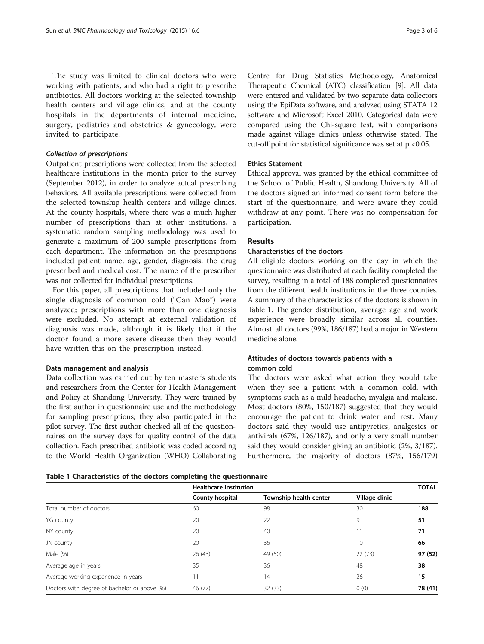The study was limited to clinical doctors who were working with patients, and who had a right to prescribe antibiotics. All doctors working at the selected township health centers and village clinics, and at the county hospitals in the departments of internal medicine, surgery, pediatrics and obstetrics & gynecology, were invited to participate.

#### Collection of prescriptions

Outpatient prescriptions were collected from the selected healthcare institutions in the month prior to the survey (September 2012), in order to analyze actual prescribing behaviors. All available prescriptions were collected from the selected township health centers and village clinics. At the county hospitals, where there was a much higher number of prescriptions than at other institutions, a systematic random sampling methodology was used to generate a maximum of 200 sample prescriptions from each department. The information on the prescriptions included patient name, age, gender, diagnosis, the drug prescribed and medical cost. The name of the prescriber was not collected for individual prescriptions.

For this paper, all prescriptions that included only the single diagnosis of common cold ("Gan Mao") were analyzed; prescriptions with more than one diagnosis were excluded. No attempt at external validation of diagnosis was made, although it is likely that if the doctor found a more severe disease then they would have written this on the prescription instead.

#### Data management and analysis

Data collection was carried out by ten master's students and researchers from the Center for Health Management and Policy at Shandong University. They were trained by the first author in questionnaire use and the methodology for sampling prescriptions; they also participated in the pilot survey. The first author checked all of the questionnaires on the survey days for quality control of the data collection. Each prescribed antibiotic was coded according to the World Health Organization (WHO) Collaborating

Centre for Drug Statistics Methodology, Anatomical Therapeutic Chemical (ATC) classification [\[9](#page-5-0)]. All data were entered and validated by two separate data collectors using the EpiData software, and analyzed using STATA 12 software and Microsoft Excel 2010. Categorical data were compared using the Chi-square test, with comparisons made against village clinics unless otherwise stated. The cut-off point for statistical significance was set at p <0.05.

#### Ethics Statement

Ethical approval was granted by the ethical committee of the School of Public Health, Shandong University. All of the doctors signed an informed consent form before the start of the questionnaire, and were aware they could withdraw at any point. There was no compensation for participation.

## Results

#### Characteristics of the doctors

All eligible doctors working on the day in which the questionnaire was distributed at each facility completed the survey, resulting in a total of 188 completed questionnaires from the different health institutions in the three counties. A summary of the characteristics of the doctors is shown in Table 1. The gender distribution, average age and work experience were broadly similar across all counties. Almost all doctors (99%, 186/187) had a major in Western medicine alone.

# Attitudes of doctors towards patients with a common cold

The doctors were asked what action they would take when they see a patient with a common cold, with symptoms such as a mild headache, myalgia and malaise. Most doctors (80%, 150/187) suggested that they would encourage the patient to drink water and rest. Many doctors said they would use antipyretics, analgesics or antivirals (67%, 126/187), and only a very small number said they would consider giving an antibiotic (2%, 3/187). Furthermore, the majority of doctors (87%, 156/179)

|                                              | <b>Healthcare institution</b> |                        |                |         |  |
|----------------------------------------------|-------------------------------|------------------------|----------------|---------|--|
|                                              | County hospital               | Township health center | Village clinic |         |  |
| Total number of doctors                      | 60                            | 98                     | 30             | 188     |  |
| YG county                                    | 20                            | 22                     | 9              | 51      |  |
| NY county                                    | 20                            | 40                     | 11             | 71      |  |
| JN county                                    | 20                            | 36                     | 10             | 66      |  |
| Male (%)                                     | 26(43)                        | 49 (50)                | 22(73)         | 97 (52) |  |
| Average age in years                         | 35                            | 36                     | 48             | 38      |  |
| Average working experience in years          | 11                            | 14                     | 26             | 15      |  |
| Doctors with degree of bachelor or above (%) | 46 (77)                       | 32(33)                 | 0(0)           | 78 (41) |  |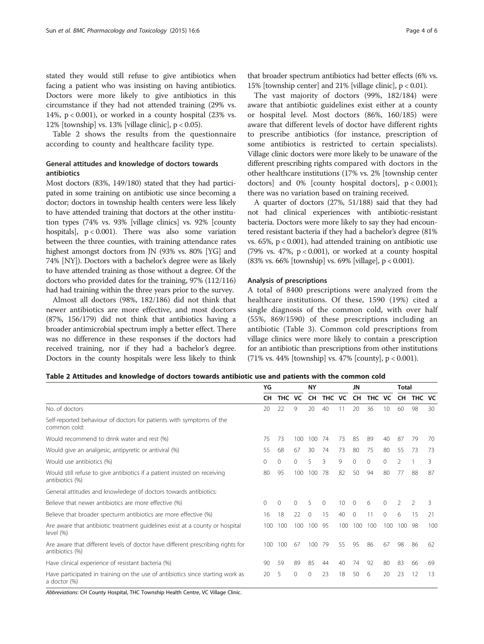stated they would still refuse to give antibiotics when facing a patient who was insisting on having antibiotics. Doctors were more likely to give antibiotics in this circumstance if they had not attended training (29% vs. 14%,  $p < 0.001$ ), or worked in a county hospital (23% vs. 12% [township] vs. 13% [village clinic], p < 0.05).

Table 2 shows the results from the questionnaire according to county and healthcare facility type.

# General attitudes and knowledge of doctors towards antibiotics

Most doctors (83%, 149/180) stated that they had participated in some training on antibiotic use since becoming a doctor; doctors in township health centers were less likely to have attended training that doctors at the other institution types (74% vs. 93% [village clinics] vs. 92% [county hospitals],  $p < 0.001$ ). There was also some variation between the three counties, with training attendance rates highest amongst doctors from JN (93% vs. 80% [YG] and 74% [NY]). Doctors with a bachelor's degree were as likely to have attended training as those without a degree. Of the doctors who provided dates for the training, 97% (112/116) had had training within the three years prior to the survey.

Almost all doctors (98%, 182/186) did not think that newer antibiotics are more effective, and most doctors (87%, 156/179) did not think that antibiotics having a broader antimicrobial spectrum imply a better effect. There was no difference in these responses if the doctors had received training, nor if they had a bachelor's degree. Doctors in the county hospitals were less likely to think that broader spectrum antibiotics had better effects (6% vs. 15% [township center] and 21% [village clinic], p < 0.01).

The vast majority of doctors (99%, 182/184) were aware that antibiotic guidelines exist either at a county or hospital level. Most doctors (86%, 160/185) were aware that different levels of doctor have different rights to prescribe antibiotics (for instance, prescription of some antibiotics is restricted to certain specialists). Village clinic doctors were more likely to be unaware of the different prescribing rights compared with doctors in the other healthcare institutions (17% vs. 2% [township center doctors] and  $0\%$  [county hospital doctors],  $p < 0.001$ ); there was no variation based on training received.

A quarter of doctors (27%, 51/188) said that they had not had clinical experiences with antibiotic-resistant bacteria. Doctors were more likely to say they had encountered resistant bacteria if they had a bachelor's degree (81% vs. 65%, p < 0.001), had attended training on antibiotic use (79% vs. 47%,  $p < 0.001$ ), or worked at a county hospital (83% vs. 66% [township] vs. 69% [village], p < 0.001).

# Analysis of prescriptions

A total of 8400 prescriptions were analyzed from the healthcare institutions. Of these, 1590 (19%) cited a single diagnosis of the common cold, with over half (55%, 869/1590) of these prescriptions including an antibiotic (Table [3](#page-4-0)). Common cold prescriptions from village clinics were more likely to contain a prescription for an antibiotic than prescriptions from other institutions  $(71\% \text{ vs. } 44\% \text{ [towns] vs. } 47\% \text{ [countv], p < 0.001}).$ 

| Table 2 Attitudes and knowledge of doctors towards antibiotic use and patients with the common cold |
|-----------------------------------------------------------------------------------------------------|
|-----------------------------------------------------------------------------------------------------|

|                                                                                                    | YG       |          | <b>NY</b> |           |          | JN              |                |        | Total    |           |        |     |
|----------------------------------------------------------------------------------------------------|----------|----------|-----------|-----------|----------|-----------------|----------------|--------|----------|-----------|--------|-----|
|                                                                                                    | CН       | THC VC   |           | <b>CH</b> | THC VC   |                 | <b>CH</b>      | THC VC |          | <b>CH</b> | THC VC |     |
| No. of doctors                                                                                     | 20       | 22       | 9         | 20        | 40       |                 | 20             | 36     | 10       | 60        | 98     | 30  |
| Self-reported behaviour of doctors for patients with symptoms of the<br>common cold:               |          |          |           |           |          |                 |                |        |          |           |        |     |
| Would recommend to drink water and rest (%)                                                        | 75       | 73       | 100       | 100       | 74       | 73              | 85             | 89     | 40       | 87        | 79     | 70  |
| Would give an analgesic, antipyretic or antiviral (%)                                              | 55       | 68       | 67        | 30        | 74       | 73              | 80             | 75     | 80       | 55        | -73    | 73  |
| Would use antibiotics (%)                                                                          | $\Omega$ | $\Omega$ | $\Omega$  | 5         | 3        | 9               | $\Omega$       | 0      | $\circ$  | 2         |        | 3   |
| Would still refuse to give antibiotics if a patient insisted on receiving<br>antibiotics (%)       | 80       | 95       | 100       | 100       | 78       | 82              | 50             | 94     | 80       | 77        | 88     | 87  |
| General attitudes and knowledege of doctors towards antibiotics:                                   |          |          |           |           |          |                 |                |        |          |           |        |     |
| Believe that newer antibiotics are more effective (%)                                              | $\Omega$ | $\circ$  | $\circ$   | 5         | $\Omega$ | 10 <sup>°</sup> | $\Omega$       | 6      | $\Omega$ | 2         | 2      | 3   |
| Believe that broader specturm antibiotics are more effective (%)                                   | 16       | 18       | 22        | $\Omega$  | 15       | 40              | $\overline{0}$ | 11     | $\Omega$ | 6         | 15     | 21  |
| Are aware that antibiotic treatment quidelines exist at a county or hospital<br>level (%)          | 100      | 100      | 100       | 100       | 95       | 100             | 100            | 100    | 100      | 100       | 98     | 100 |
| Are aware that different levels of doctor have different prescribing rights for<br>antibiotics (%) | 100      | 100      | 67        | 100       | -79      | 55              | 95             | 86     | 67       | 98        | 86     | 62  |
| Have clinical experience of resistant bacteria (%)                                                 | 90       | 59       | 89        | 85        | 44       | 40              | 74             | 92     | 80       | 83        | 66     | 69  |
| Have participated in training on the use of antibiotics since starting work as<br>a doctor $(\%)$  | 20       | 5        | $\circ$   | $\Omega$  | 23       | 18              | 50             | 6      | 20       | 23        | 12     | 13  |

Abbreviations: CH County Hospital, THC Township Health Centre, VC Village Clinic.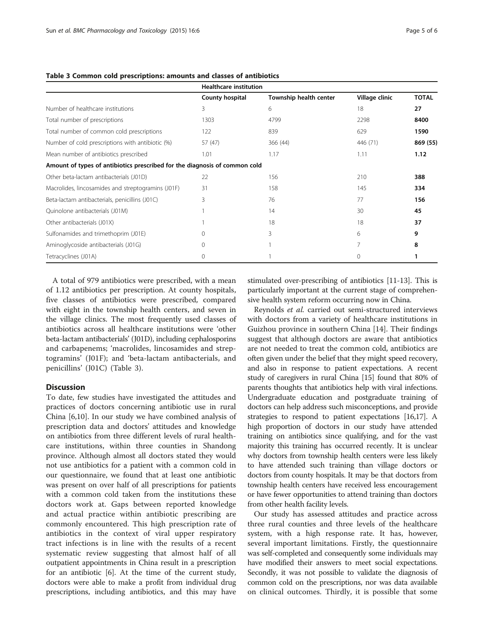|                                                                            | <b>Healthcare institution</b> |                        |                |              |  |  |
|----------------------------------------------------------------------------|-------------------------------|------------------------|----------------|--------------|--|--|
|                                                                            | County hospital               | Township health center | Village clinic | <b>TOTAL</b> |  |  |
| Number of healthcare institutions                                          | 3                             | 6                      | 18             | 27           |  |  |
| Total number of prescriptions                                              | 1303                          | 4799                   | 2298           | 8400         |  |  |
| Total number of common cold prescriptions                                  | 122                           | 839                    | 629            | 1590         |  |  |
| Number of cold prescriptions with antibiotic (%)                           | 57 (47)                       | 366 (44)               | 446 (71)       | 869 (55)     |  |  |
| Mean number of antibiotics prescribed                                      | 1.01                          | 1.17                   | 1.11           | 1.12         |  |  |
| Amount of types of antibiotics prescribed for the diagnosis of common cold |                               |                        |                |              |  |  |
| Other beta-lactam antibacterials (J01D)                                    | 22                            | 156                    | 210            | 388          |  |  |
| Macrolides, lincosamides and streptogramins (J01F)                         | 31                            | 158                    | 145            | 334          |  |  |
| Beta-lactam antibacterials, penicillins (J01C)                             | 3                             | 76                     | 77             | 156          |  |  |
| Quinolone antibacterials (J01M)                                            |                               | 14                     | 30             | 45           |  |  |
| Other antibacterials (J01X)                                                |                               | 18                     | 18             | 37           |  |  |
| Sulfonamides and trimethoprim (J01E)                                       | Ω                             | 3                      | 6              | 9            |  |  |
| Aminoglycoside antibacterials (J01G)                                       | 0                             |                        |                | 8            |  |  |
| Tetracyclines (J01A)                                                       | 0                             |                        | 0              |              |  |  |

# <span id="page-4-0"></span>Table 3 Common cold prescriptions: amounts and classes of antibiotics

A total of 979 antibiotics were prescribed, with a mean of 1.12 antibiotics per prescription. At county hospitals, five classes of antibiotics were prescribed, compared with eight in the township health centers, and seven in the village clinics. The most frequently used classes of antibiotics across all healthcare institutions were 'other beta-lactam antibacterials' (J01D), including cephalosporins and carbapenems; 'macrolides, lincosamides and streptogramins' (J01F); and 'beta-lactam antibacterials, and penicillins' (J01C) (Table 3).

# **Discussion**

To date, few studies have investigated the attitudes and practices of doctors concerning antibiotic use in rural China [[6](#page-5-0),[10](#page-5-0)]. In our study we have combined analysis of prescription data and doctors' attitudes and knowledge on antibiotics from three different levels of rural healthcare institutions, within three counties in Shandong province. Although almost all doctors stated they would not use antibiotics for a patient with a common cold in our questionnaire, we found that at least one antibiotic was present on over half of all prescriptions for patients with a common cold taken from the institutions these doctors work at. Gaps between reported knowledge and actual practice within antibiotic prescribing are commonly encountered. This high prescription rate of antibiotics in the context of viral upper respiratory tract infections is in line with the results of a recent systematic review suggesting that almost half of all outpatient appointments in China result in a prescription for an antibiotic [[6\]](#page-5-0). At the time of the current study, doctors were able to make a profit from individual drug prescriptions, including antibiotics, and this may have

stimulated over-prescribing of antibiotics [\[11-13\]](#page-5-0). This is particularly important at the current stage of comprehensive health system reform occurring now in China.

Reynolds et al. carried out semi-structured interviews with doctors from a variety of healthcare institutions in Guizhou province in southern China [\[14](#page-5-0)]. Their findings suggest that although doctors are aware that antibiotics are not needed to treat the common cold, antibiotics are often given under the belief that they might speed recovery, and also in response to patient expectations. A recent study of caregivers in rural China [\[15\]](#page-5-0) found that 80% of parents thoughts that antibiotics help with viral infections. Undergraduate education and postgraduate training of doctors can help address such misconceptions, and provide strategies to respond to patient expectations [\[16,17](#page-5-0)]. A high proportion of doctors in our study have attended training on antibiotics since qualifying, and for the vast majority this training has occurred recently. It is unclear why doctors from township health centers were less likely to have attended such training than village doctors or doctors from county hospitals. It may be that doctors from township health centers have received less encouragement or have fewer opportunities to attend training than doctors from other health facility levels.

Our study has assessed attitudes and practice across three rural counties and three levels of the healthcare system, with a high response rate. It has, however, several important limitations. Firstly, the questionnaire was self-completed and consequently some individuals may have modified their answers to meet social expectations. Secondly, it was not possible to validate the diagnosis of common cold on the prescriptions, nor was data available on clinical outcomes. Thirdly, it is possible that some